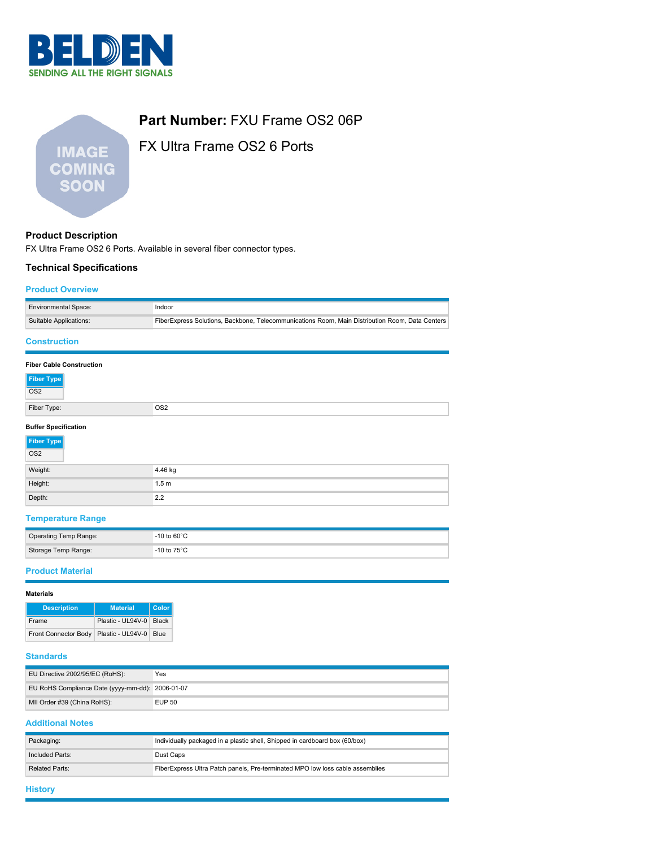

| <b>IMAGE</b> |  |
|--------------|--|
| COMING       |  |
| SOON         |  |
|              |  |

# **Part Number:** FXU Frame OS2 06P

FX Ultra Frame OS2 6 Ports

## **Product Description**

FX Ultra Frame OS2 6 Ports. Available in several fiber connector types.

#### **Technical Specifications**

#### **Product Overview**

| <b>Environmental Space:</b>     | Indoor                                                                                          |  |  |  |
|---------------------------------|-------------------------------------------------------------------------------------------------|--|--|--|
| Suitable Applications:          | FiberExpress Solutions, Backbone, Telecommunications Room, Main Distribution Room, Data Centers |  |  |  |
| <b>Construction</b>             |                                                                                                 |  |  |  |
| <b>Fiber Cable Construction</b> |                                                                                                 |  |  |  |
| <b>Fiber Type</b>               |                                                                                                 |  |  |  |
| OS <sub>2</sub>                 |                                                                                                 |  |  |  |
| Fiber Type:                     | OS <sub>2</sub>                                                                                 |  |  |  |
| <b>Buffer Specification</b>     |                                                                                                 |  |  |  |
| <b>Fiber Type</b>               |                                                                                                 |  |  |  |
| OS <sub>2</sub>                 |                                                                                                 |  |  |  |
| Weight:                         | 4.46 kg                                                                                         |  |  |  |
| Height:                         | 1.5 <sub>m</sub>                                                                                |  |  |  |
| Depth:                          | 2.2                                                                                             |  |  |  |

## **Temperature Range**

| Operating Temp Range: | $-10$ to 60 $^{\circ}$ C |
|-----------------------|--------------------------|
| Storage Temp Range:   | -10 to $75^{\circ}$ C    |

#### **Product Material**

| <b>Materials</b>            |                         |              |  |
|-----------------------------|-------------------------|--------------|--|
| <b>Description</b>          | <b>Material</b>         | <b>Color</b> |  |
| Frame                       | Plastic - UL94V-0 Black |              |  |
| <b>Front Connector Body</b> | Plastic - UL94V-0       | Blue         |  |

## **Standards**

| EU Directive 2002/95/EC (RoHS):                  | Yes           |
|--------------------------------------------------|---------------|
| EU RoHS Compliance Date (yyyy-mm-dd): 2006-01-07 |               |
| MII Order #39 (China RoHS):                      | <b>EUP 50</b> |

#### **Additional Notes**

| Packaging:      | Individually packaged in a plastic shell, Shipped in cardboard box (60/box)   |  |
|-----------------|-------------------------------------------------------------------------------|--|
| Included Parts: | Dust Caps                                                                     |  |
| Related Parts:  | FiberExpress Ultra Patch panels, Pre-terminated MPO low loss cable assemblies |  |
|                 |                                                                               |  |

## **History**